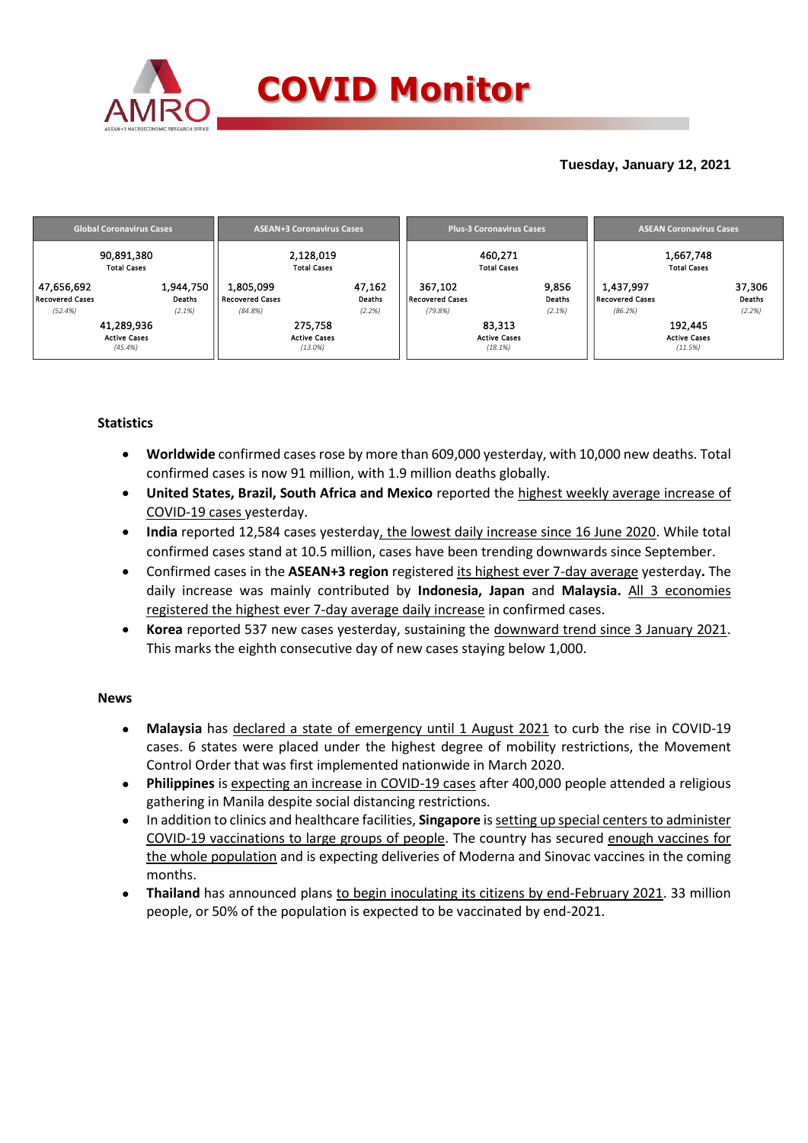

## **Tuesday, January 12, 2021**

|                        | <b>Global Coronavirus Cases</b>  | <b>ASEAN+3 Coronavirus Cases</b> |               |                 | <b>Plus-3 Coronavirus Cases</b> | <b>ASEAN Coronavirus Cases</b>  |        |  |
|------------------------|----------------------------------|----------------------------------|---------------|-----------------|---------------------------------|---------------------------------|--------|--|
|                        | 90,891,380<br><b>Total Cases</b> | 2,128,019<br><b>Total Cases</b>  |               |                 | 460.271<br><b>Total Cases</b>   | 1,667,748<br><b>Total Cases</b> |        |  |
| 47,656,692             | 1,944,750                        | 1,805,099                        | 47,162        | 367,102         | 9,856                           | 1,437,997                       | 37,306 |  |
| <b>Recovered Cases</b> | Deaths                           | Recovered Cases                  | <b>Deaths</b> | Recovered Cases | Deaths                          | <b>Recovered Cases</b>          | Deaths |  |
| (52.4%)                | (2.1%)                           | (84.8%)                          | (2.2%)        | (79.8%)         | (2.1%)                          | (86.2%)                         | (2.2%) |  |
| 41,289,936             |                                  | 275,758                          |               |                 | 83,313                          | 192,445                         |        |  |
| <b>Active Cases</b>    |                                  | <b>Active Cases</b>              |               |                 | <b>Active Cases</b>             | <b>Active Cases</b>             |        |  |
| (45.4%)                |                                  | $(13.0\%)$                       |               |                 | (18.1%)                         | (11.5%)                         |        |  |

### **Statistics**

- **Worldwide** confirmed cases rose by more than 609,000 yesterday, with 10,000 new deaths. Total confirmed cases is now 91 million, with 1.9 million deaths globally.
- **United States, Brazil, South Africa and Mexico** reported the highest weekly average increase of COVID-19 cases yesterday.
- **India** reported 12,584 cases yesterday, the lowest daily increase since 16 June 2020. While total confirmed cases stand at 10.5 million, cases have been trending downwards since September.
- Confirmed cases in the **ASEAN+3 region** registered its highest ever 7-day average yesterday**.** The daily increase was mainly contributed by **Indonesia, Japan** and **Malaysia.** All 3 economies registered the highest ever 7-day average daily increase in confirmed cases.
- **Korea** reported 537 new cases yesterday, sustaining the downward trend since 3 January 2021. This marks the eighth consecutive day of new cases staying below 1,000.

### **News**

- **Malaysia** has declared a state of emergency until 1 August 2021 to curb the rise in COVID-19 cases. 6 states were placed under the highest degree of mobility restrictions, the Movement Control Order that was first implemented nationwide in March 2020.
- **Philippines** is expecting an increase in COVID-19 cases after 400,000 people attended a religious gathering in Manila despite social distancing restrictions.
- In addition to clinics and healthcare facilities, **Singapore** is setting up special centers to administer COVID-19 vaccinations to large groups of people. The country has secured enough vaccines for the whole population and is expecting deliveries of Moderna and Sinovac vaccines in the coming months.
- **Thailand** has announced plans to begin inoculating its citizens by end-February 2021. 33 million people, or 50% of the population is expected to be vaccinated by end-2021.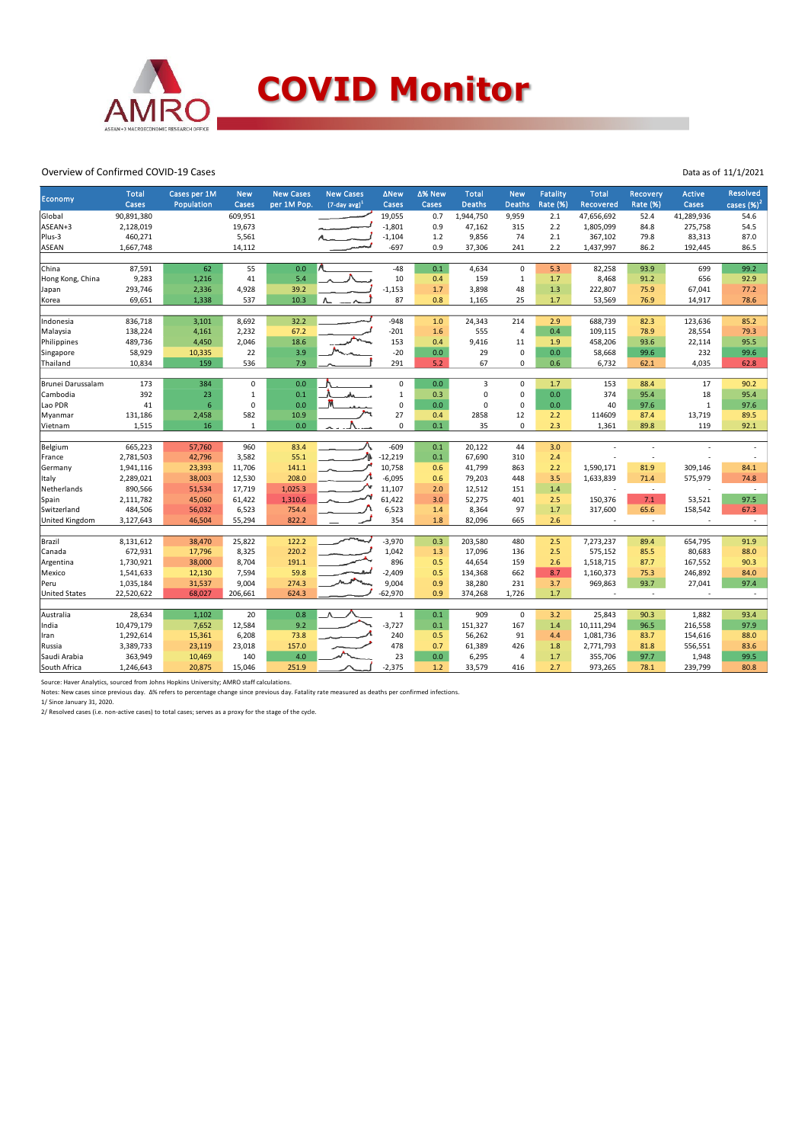

#### Overview of Confirmed COVID-19 Cases

| Global<br>90,891,380<br>609,951<br>19,055<br>0.7<br>1,944,750<br>9,959<br>2.1<br>47,656,692<br>52.4<br>41,289,936<br>54.6<br>$-1,801$<br>ASEAN+3<br>2,128,019<br>19,673<br>0.9<br>315<br>2.2<br>1,805,099<br>84.8<br>275,758<br>54.5<br>47,162<br>Plus-3<br>460,271<br>5,561<br>$-1,104$<br>9,856<br>74<br>2.1<br>79.8<br>83,313<br>87.0<br>1.2<br>367,102<br><b>ASEAN</b><br>1,667,748<br>14,112<br>$-697$<br>0.9<br>37,306<br>2.2<br>1,437,997<br>192,445<br>86.5<br>241<br>86.2<br>China<br>55<br>$-48$<br>99.2<br>87,591<br>62<br>0.0<br>0.1<br>4,634<br>$\mathbf 0$<br>82,258<br>93.9<br>699<br>5.3<br>41<br>$\,1\,$<br>9,283<br>1,216<br>5.4<br>10<br>0.4<br>159<br>1.7<br>8,468<br>91.2<br>656<br>92.9<br>Hong Kong, China<br>293,746<br>4,928<br>39.2<br>$-1,153$<br>3,898<br>48<br>1.3<br>222,807<br>75.9<br>77.2<br>2,336<br>1.7<br>67,041<br>Japan<br>69,651<br>1,338<br>537<br>10.3<br>87<br>0.8<br>25<br>53,569<br>78.6<br>1,165<br>1.7<br>76.9<br>14,917<br>Korea<br>8,692<br>32.2<br>$-948$<br>24,343<br>836,718<br>3,101<br>1.0<br>214<br>2.9<br>688,739<br>82.3<br>123,636<br>85.2<br>Indonesia<br>2,232<br>Malaysia<br>138,224<br>4,161<br>67.2<br>$-201$<br>1.6<br>555<br>$\overline{4}$<br>0.4<br>78.9<br>28,554<br>79.3<br>109,115<br>489,736<br>2,046<br>18.6<br>153<br>9,416<br>95.5<br>Philippines<br>4,450<br>0.4<br>11<br>1.9<br>458,206<br>93.6<br>22,114<br>58,929<br>22<br>3.9<br>$-20$<br>0.0<br>29<br>$\mathbf 0$<br>58,668<br>99.6<br>232<br>99.6<br>Singapore<br>10,335<br>0.0<br>291<br>67<br>536<br>7.9<br>$\mathbf 0$<br>Thailand<br>10,834<br>159<br>5.2<br>0.6<br>6,732<br>62.1<br>4,035<br>62.8<br>384<br>0<br>0.0<br>0.0<br>$\overline{3}$<br>90.2<br>Brunei Darussalam<br>173<br>0<br>$\mathbf 0$<br>1.7<br>153<br>88.4<br>17<br>Cambodia<br>392<br>23<br>0.1<br>0.3<br>$\pmb{0}$<br>0.0<br>374<br>95.4<br>18<br>95.4<br>$\mathbf 1$<br>$\mathbf{1}$<br>$\mathbf 0$<br>Lao PDR<br>41<br>$6\phantom{1}6$<br>0<br>0.0<br>$\mathbf 0$<br>0.0<br>$\mathbf 0$<br>$\mathbf 0$<br>40<br>97.6<br>$\mathbf{1}$<br>97.6<br>0.0<br>27<br>89.5<br>131,186<br>2,458<br>582<br>10.9<br>0.4<br>2858<br>12<br>2.2<br>114609<br>87.4<br>13,719<br>Myanmar<br>16<br>0.0<br>$\mathbf 0$<br>0.1<br>35<br>$\Omega$<br>2.3<br>89.8<br>92.1<br>1,515<br>$\mathbf{1}$<br>1,361<br>119<br>Vietnam<br>960<br>$-609$<br>0.1<br>20,122<br>Belgium<br>665,223<br>57,760<br>83.4<br>44<br>3.0<br>2,781,503<br>42,796<br>3,582<br>$-12,219$<br>67,690<br>55.1<br>0.1<br>310<br>2.4<br>France<br>10,758<br>1,941,116<br>23,393<br>11,706<br>141.1<br>41,799<br>863<br>2.2<br>1,590,171<br>81.9<br>309,146<br>84.1<br>Germany<br>0.6<br>2,289,021<br>12,530<br>$-6,095$<br>1,633,839<br>74.8<br>Italy<br>38,003<br>208.0<br>0.6<br>79,203<br>448<br>3.5<br>71.4<br>575,979<br>890,566<br>17,719<br>1,025.3<br>11,107<br>Netherlands<br>51,534<br>2.0<br>12,512<br>151<br>1.4<br>$\overline{\phantom{a}}$<br>61,422<br>61,422<br>7.1<br>97.5<br>2,111,782<br>45,060<br>1,310.6<br>3.0<br>52,275<br>401<br>2.5<br>150,376<br>53,521<br>Spain<br>484,506<br>6,523<br>6,523<br>8,364<br>97<br>317,600<br>65.6<br>158,542<br>67.3<br>Switzerland<br>56,032<br>754.4<br>1.4<br>1.7<br><b>United Kingdom</b><br>3,127,643<br>55,294<br>822.2<br>354<br>1.8<br>82,096<br>665<br>2.6<br>46,504<br>×.<br>$\sim$<br>122.2<br>Brazil<br>8,131,612<br>25,822<br>$-3,970$<br>0.3<br>203,580<br>480<br>2.5<br>7,273,237<br>654,795<br>91.9<br>38,470<br>89.4<br>672,931<br>8,325<br>1,042<br>17,096<br>575,152<br>80,683<br>Canada<br>17,796<br>220.2<br>1.3<br>136<br>2.5<br>85.5<br>88.0<br>1,730,921<br>8,704<br>191.1<br>896<br>0.5<br>1,518,715<br>87.7<br>167,552<br>90.3<br>Argentina<br>38,000<br>44,654<br>159<br>2.6<br>75.3<br>Mexico<br>1,541,633<br>7,594<br>59.8<br>$-2,409$<br>0.5<br>662<br>8.7<br>1,160,373<br>246,892<br>84.0<br>12,130<br>134,368<br>9,004<br>274.3<br>9,004<br>0.9<br>969,863<br>1,035,184<br>31,537<br>38,280<br>231<br>3.7<br>93.7<br>27,041<br>97.4<br>Peru<br>624.3<br>$-62,970$<br>1,726<br><b>United States</b><br>22,520,622<br>68,027<br>206,661<br>0.9<br>374,268<br>1.7<br>$\sim$<br>$\overline{\phantom{a}}$<br>٠<br>909<br>28,634<br>1,102<br>20<br>0.8<br>0.1<br>$\pmb{0}$<br>25,843<br>1,882<br>93.4<br>Australia<br>$\mathbf{1}$<br>3.2<br>90.3<br>9.2<br>$-3,727$<br>97.9<br>India<br>10,479,179<br>12,584<br>0.1<br>151,327<br>167<br>1.4<br>10,111,294<br>96.5<br>216,558<br>7,652<br>1,292,614<br>6,208<br>73.8<br>240<br>0.5<br>56,262<br>1,081,736<br>154,616<br>88.0<br>15,361<br>91<br>4.4<br>83.7<br>Iran<br>478<br>3,389,733<br>23,018<br>157.0<br>0.7<br>61,389<br>426<br>2,771,793<br>556,551<br>83.6<br>Russia<br>23,119<br>1.8<br>81.8<br>140<br>4.0<br>23<br>Saudi Arabia<br>363,949<br>0.0<br>6,295<br>$\overline{4}$<br>355,706<br>97.7<br>1,948<br>99.5<br>10,469<br>1.7 | <b>Economy</b> | <b>Total</b><br>Cases | Cases per 1M<br>Population | <b>New</b><br>Cases | <b>New Cases</b><br>per 1M Pop. | <b>New Cases</b><br>$(7$ -day avg $)^1$ | <b>ANew</b><br>Cases | ∆% New<br>Cases | <b>Total</b><br><b>Deaths</b> | <b>New</b><br><b>Deaths</b> | <b>Fatality</b><br><b>Rate (%)</b> | <b>Total</b><br><b>Recovered</b> | Recovery<br><b>Rate (%)</b> | <b>Active</b><br>Cases | <b>Resolved</b><br>cases $(\%)^2$ |
|----------------------------------------------------------------------------------------------------------------------------------------------------------------------------------------------------------------------------------------------------------------------------------------------------------------------------------------------------------------------------------------------------------------------------------------------------------------------------------------------------------------------------------------------------------------------------------------------------------------------------------------------------------------------------------------------------------------------------------------------------------------------------------------------------------------------------------------------------------------------------------------------------------------------------------------------------------------------------------------------------------------------------------------------------------------------------------------------------------------------------------------------------------------------------------------------------------------------------------------------------------------------------------------------------------------------------------------------------------------------------------------------------------------------------------------------------------------------------------------------------------------------------------------------------------------------------------------------------------------------------------------------------------------------------------------------------------------------------------------------------------------------------------------------------------------------------------------------------------------------------------------------------------------------------------------------------------------------------------------------------------------------------------------------------------------------------------------------------------------------------------------------------------------------------------------------------------------------------------------------------------------------------------------------------------------------------------------------------------------------------------------------------------------------------------------------------------------------------------------------------------------------------------------------------------------------------------------------------------------------------------------------------------------------------------------------------------------------------------------------------------------------------------------------------------------------------------------------------------------------------------------------------------------------------------------------------------------------------------------------------------------------------------------------------------------------------------------------------------------------------------------------------------------------------------------------------------------------------------------------------------------------------------------------------------------------------------------------------------------------------------------------------------------------------------------------------------------------------------------------------------------------------------------------------------------------------------------------------------------------------------------------------------------------------------------------------------------------------------------------------------------------------------------------------------------------------------------------------------------------------------------------------------------------------------------------------------------------------------------------------------------------------------------------------------------------------------------------------------------------------------------------------------------------------------------------------------------------------------------------------------------------------------------------------------------------------------------------------------------------------------------------------------------------------------------------------------------------------------------------------------------------------------------------------------------------------------------------------------------------------------------------------------------------------------------------------------------------------------------------------------------------------------------------------------------------------------------|----------------|-----------------------|----------------------------|---------------------|---------------------------------|-----------------------------------------|----------------------|-----------------|-------------------------------|-----------------------------|------------------------------------|----------------------------------|-----------------------------|------------------------|-----------------------------------|
|                                                                                                                                                                                                                                                                                                                                                                                                                                                                                                                                                                                                                                                                                                                                                                                                                                                                                                                                                                                                                                                                                                                                                                                                                                                                                                                                                                                                                                                                                                                                                                                                                                                                                                                                                                                                                                                                                                                                                                                                                                                                                                                                                                                                                                                                                                                                                                                                                                                                                                                                                                                                                                                                                                                                                                                                                                                                                                                                                                                                                                                                                                                                                                                                                                                                                                                                                                                                                                                                                                                                                                                                                                                                                                                                                                                                                                                                                                                                                                                                                                                                                                                                                                                                                                                                                                                                                                                                                                                                                                                                                                                                                                                                                                                                                                                                                                        |                |                       |                            |                     |                                 |                                         |                      |                 |                               |                             |                                    |                                  |                             |                        |                                   |
|                                                                                                                                                                                                                                                                                                                                                                                                                                                                                                                                                                                                                                                                                                                                                                                                                                                                                                                                                                                                                                                                                                                                                                                                                                                                                                                                                                                                                                                                                                                                                                                                                                                                                                                                                                                                                                                                                                                                                                                                                                                                                                                                                                                                                                                                                                                                                                                                                                                                                                                                                                                                                                                                                                                                                                                                                                                                                                                                                                                                                                                                                                                                                                                                                                                                                                                                                                                                                                                                                                                                                                                                                                                                                                                                                                                                                                                                                                                                                                                                                                                                                                                                                                                                                                                                                                                                                                                                                                                                                                                                                                                                                                                                                                                                                                                                                                        |                |                       |                            |                     |                                 |                                         |                      |                 |                               |                             |                                    |                                  |                             |                        |                                   |
|                                                                                                                                                                                                                                                                                                                                                                                                                                                                                                                                                                                                                                                                                                                                                                                                                                                                                                                                                                                                                                                                                                                                                                                                                                                                                                                                                                                                                                                                                                                                                                                                                                                                                                                                                                                                                                                                                                                                                                                                                                                                                                                                                                                                                                                                                                                                                                                                                                                                                                                                                                                                                                                                                                                                                                                                                                                                                                                                                                                                                                                                                                                                                                                                                                                                                                                                                                                                                                                                                                                                                                                                                                                                                                                                                                                                                                                                                                                                                                                                                                                                                                                                                                                                                                                                                                                                                                                                                                                                                                                                                                                                                                                                                                                                                                                                                                        |                |                       |                            |                     |                                 |                                         |                      |                 |                               |                             |                                    |                                  |                             |                        |                                   |
|                                                                                                                                                                                                                                                                                                                                                                                                                                                                                                                                                                                                                                                                                                                                                                                                                                                                                                                                                                                                                                                                                                                                                                                                                                                                                                                                                                                                                                                                                                                                                                                                                                                                                                                                                                                                                                                                                                                                                                                                                                                                                                                                                                                                                                                                                                                                                                                                                                                                                                                                                                                                                                                                                                                                                                                                                                                                                                                                                                                                                                                                                                                                                                                                                                                                                                                                                                                                                                                                                                                                                                                                                                                                                                                                                                                                                                                                                                                                                                                                                                                                                                                                                                                                                                                                                                                                                                                                                                                                                                                                                                                                                                                                                                                                                                                                                                        |                |                       |                            |                     |                                 |                                         |                      |                 |                               |                             |                                    |                                  |                             |                        |                                   |
|                                                                                                                                                                                                                                                                                                                                                                                                                                                                                                                                                                                                                                                                                                                                                                                                                                                                                                                                                                                                                                                                                                                                                                                                                                                                                                                                                                                                                                                                                                                                                                                                                                                                                                                                                                                                                                                                                                                                                                                                                                                                                                                                                                                                                                                                                                                                                                                                                                                                                                                                                                                                                                                                                                                                                                                                                                                                                                                                                                                                                                                                                                                                                                                                                                                                                                                                                                                                                                                                                                                                                                                                                                                                                                                                                                                                                                                                                                                                                                                                                                                                                                                                                                                                                                                                                                                                                                                                                                                                                                                                                                                                                                                                                                                                                                                                                                        |                |                       |                            |                     |                                 |                                         |                      |                 |                               |                             |                                    |                                  |                             |                        |                                   |
|                                                                                                                                                                                                                                                                                                                                                                                                                                                                                                                                                                                                                                                                                                                                                                                                                                                                                                                                                                                                                                                                                                                                                                                                                                                                                                                                                                                                                                                                                                                                                                                                                                                                                                                                                                                                                                                                                                                                                                                                                                                                                                                                                                                                                                                                                                                                                                                                                                                                                                                                                                                                                                                                                                                                                                                                                                                                                                                                                                                                                                                                                                                                                                                                                                                                                                                                                                                                                                                                                                                                                                                                                                                                                                                                                                                                                                                                                                                                                                                                                                                                                                                                                                                                                                                                                                                                                                                                                                                                                                                                                                                                                                                                                                                                                                                                                                        |                |                       |                            |                     |                                 |                                         |                      |                 |                               |                             |                                    |                                  |                             |                        |                                   |
|                                                                                                                                                                                                                                                                                                                                                                                                                                                                                                                                                                                                                                                                                                                                                                                                                                                                                                                                                                                                                                                                                                                                                                                                                                                                                                                                                                                                                                                                                                                                                                                                                                                                                                                                                                                                                                                                                                                                                                                                                                                                                                                                                                                                                                                                                                                                                                                                                                                                                                                                                                                                                                                                                                                                                                                                                                                                                                                                                                                                                                                                                                                                                                                                                                                                                                                                                                                                                                                                                                                                                                                                                                                                                                                                                                                                                                                                                                                                                                                                                                                                                                                                                                                                                                                                                                                                                                                                                                                                                                                                                                                                                                                                                                                                                                                                                                        |                |                       |                            |                     |                                 |                                         |                      |                 |                               |                             |                                    |                                  |                             |                        |                                   |
|                                                                                                                                                                                                                                                                                                                                                                                                                                                                                                                                                                                                                                                                                                                                                                                                                                                                                                                                                                                                                                                                                                                                                                                                                                                                                                                                                                                                                                                                                                                                                                                                                                                                                                                                                                                                                                                                                                                                                                                                                                                                                                                                                                                                                                                                                                                                                                                                                                                                                                                                                                                                                                                                                                                                                                                                                                                                                                                                                                                                                                                                                                                                                                                                                                                                                                                                                                                                                                                                                                                                                                                                                                                                                                                                                                                                                                                                                                                                                                                                                                                                                                                                                                                                                                                                                                                                                                                                                                                                                                                                                                                                                                                                                                                                                                                                                                        |                |                       |                            |                     |                                 |                                         |                      |                 |                               |                             |                                    |                                  |                             |                        |                                   |
|                                                                                                                                                                                                                                                                                                                                                                                                                                                                                                                                                                                                                                                                                                                                                                                                                                                                                                                                                                                                                                                                                                                                                                                                                                                                                                                                                                                                                                                                                                                                                                                                                                                                                                                                                                                                                                                                                                                                                                                                                                                                                                                                                                                                                                                                                                                                                                                                                                                                                                                                                                                                                                                                                                                                                                                                                                                                                                                                                                                                                                                                                                                                                                                                                                                                                                                                                                                                                                                                                                                                                                                                                                                                                                                                                                                                                                                                                                                                                                                                                                                                                                                                                                                                                                                                                                                                                                                                                                                                                                                                                                                                                                                                                                                                                                                                                                        |                |                       |                            |                     |                                 |                                         |                      |                 |                               |                             |                                    |                                  |                             |                        |                                   |
|                                                                                                                                                                                                                                                                                                                                                                                                                                                                                                                                                                                                                                                                                                                                                                                                                                                                                                                                                                                                                                                                                                                                                                                                                                                                                                                                                                                                                                                                                                                                                                                                                                                                                                                                                                                                                                                                                                                                                                                                                                                                                                                                                                                                                                                                                                                                                                                                                                                                                                                                                                                                                                                                                                                                                                                                                                                                                                                                                                                                                                                                                                                                                                                                                                                                                                                                                                                                                                                                                                                                                                                                                                                                                                                                                                                                                                                                                                                                                                                                                                                                                                                                                                                                                                                                                                                                                                                                                                                                                                                                                                                                                                                                                                                                                                                                                                        |                |                       |                            |                     |                                 |                                         |                      |                 |                               |                             |                                    |                                  |                             |                        |                                   |
|                                                                                                                                                                                                                                                                                                                                                                                                                                                                                                                                                                                                                                                                                                                                                                                                                                                                                                                                                                                                                                                                                                                                                                                                                                                                                                                                                                                                                                                                                                                                                                                                                                                                                                                                                                                                                                                                                                                                                                                                                                                                                                                                                                                                                                                                                                                                                                                                                                                                                                                                                                                                                                                                                                                                                                                                                                                                                                                                                                                                                                                                                                                                                                                                                                                                                                                                                                                                                                                                                                                                                                                                                                                                                                                                                                                                                                                                                                                                                                                                                                                                                                                                                                                                                                                                                                                                                                                                                                                                                                                                                                                                                                                                                                                                                                                                                                        |                |                       |                            |                     |                                 |                                         |                      |                 |                               |                             |                                    |                                  |                             |                        |                                   |
|                                                                                                                                                                                                                                                                                                                                                                                                                                                                                                                                                                                                                                                                                                                                                                                                                                                                                                                                                                                                                                                                                                                                                                                                                                                                                                                                                                                                                                                                                                                                                                                                                                                                                                                                                                                                                                                                                                                                                                                                                                                                                                                                                                                                                                                                                                                                                                                                                                                                                                                                                                                                                                                                                                                                                                                                                                                                                                                                                                                                                                                                                                                                                                                                                                                                                                                                                                                                                                                                                                                                                                                                                                                                                                                                                                                                                                                                                                                                                                                                                                                                                                                                                                                                                                                                                                                                                                                                                                                                                                                                                                                                                                                                                                                                                                                                                                        |                |                       |                            |                     |                                 |                                         |                      |                 |                               |                             |                                    |                                  |                             |                        |                                   |
|                                                                                                                                                                                                                                                                                                                                                                                                                                                                                                                                                                                                                                                                                                                                                                                                                                                                                                                                                                                                                                                                                                                                                                                                                                                                                                                                                                                                                                                                                                                                                                                                                                                                                                                                                                                                                                                                                                                                                                                                                                                                                                                                                                                                                                                                                                                                                                                                                                                                                                                                                                                                                                                                                                                                                                                                                                                                                                                                                                                                                                                                                                                                                                                                                                                                                                                                                                                                                                                                                                                                                                                                                                                                                                                                                                                                                                                                                                                                                                                                                                                                                                                                                                                                                                                                                                                                                                                                                                                                                                                                                                                                                                                                                                                                                                                                                                        |                |                       |                            |                     |                                 |                                         |                      |                 |                               |                             |                                    |                                  |                             |                        |                                   |
|                                                                                                                                                                                                                                                                                                                                                                                                                                                                                                                                                                                                                                                                                                                                                                                                                                                                                                                                                                                                                                                                                                                                                                                                                                                                                                                                                                                                                                                                                                                                                                                                                                                                                                                                                                                                                                                                                                                                                                                                                                                                                                                                                                                                                                                                                                                                                                                                                                                                                                                                                                                                                                                                                                                                                                                                                                                                                                                                                                                                                                                                                                                                                                                                                                                                                                                                                                                                                                                                                                                                                                                                                                                                                                                                                                                                                                                                                                                                                                                                                                                                                                                                                                                                                                                                                                                                                                                                                                                                                                                                                                                                                                                                                                                                                                                                                                        |                |                       |                            |                     |                                 |                                         |                      |                 |                               |                             |                                    |                                  |                             |                        |                                   |
|                                                                                                                                                                                                                                                                                                                                                                                                                                                                                                                                                                                                                                                                                                                                                                                                                                                                                                                                                                                                                                                                                                                                                                                                                                                                                                                                                                                                                                                                                                                                                                                                                                                                                                                                                                                                                                                                                                                                                                                                                                                                                                                                                                                                                                                                                                                                                                                                                                                                                                                                                                                                                                                                                                                                                                                                                                                                                                                                                                                                                                                                                                                                                                                                                                                                                                                                                                                                                                                                                                                                                                                                                                                                                                                                                                                                                                                                                                                                                                                                                                                                                                                                                                                                                                                                                                                                                                                                                                                                                                                                                                                                                                                                                                                                                                                                                                        |                |                       |                            |                     |                                 |                                         |                      |                 |                               |                             |                                    |                                  |                             |                        |                                   |
|                                                                                                                                                                                                                                                                                                                                                                                                                                                                                                                                                                                                                                                                                                                                                                                                                                                                                                                                                                                                                                                                                                                                                                                                                                                                                                                                                                                                                                                                                                                                                                                                                                                                                                                                                                                                                                                                                                                                                                                                                                                                                                                                                                                                                                                                                                                                                                                                                                                                                                                                                                                                                                                                                                                                                                                                                                                                                                                                                                                                                                                                                                                                                                                                                                                                                                                                                                                                                                                                                                                                                                                                                                                                                                                                                                                                                                                                                                                                                                                                                                                                                                                                                                                                                                                                                                                                                                                                                                                                                                                                                                                                                                                                                                                                                                                                                                        |                |                       |                            |                     |                                 |                                         |                      |                 |                               |                             |                                    |                                  |                             |                        |                                   |
|                                                                                                                                                                                                                                                                                                                                                                                                                                                                                                                                                                                                                                                                                                                                                                                                                                                                                                                                                                                                                                                                                                                                                                                                                                                                                                                                                                                                                                                                                                                                                                                                                                                                                                                                                                                                                                                                                                                                                                                                                                                                                                                                                                                                                                                                                                                                                                                                                                                                                                                                                                                                                                                                                                                                                                                                                                                                                                                                                                                                                                                                                                                                                                                                                                                                                                                                                                                                                                                                                                                                                                                                                                                                                                                                                                                                                                                                                                                                                                                                                                                                                                                                                                                                                                                                                                                                                                                                                                                                                                                                                                                                                                                                                                                                                                                                                                        |                |                       |                            |                     |                                 |                                         |                      |                 |                               |                             |                                    |                                  |                             |                        |                                   |
|                                                                                                                                                                                                                                                                                                                                                                                                                                                                                                                                                                                                                                                                                                                                                                                                                                                                                                                                                                                                                                                                                                                                                                                                                                                                                                                                                                                                                                                                                                                                                                                                                                                                                                                                                                                                                                                                                                                                                                                                                                                                                                                                                                                                                                                                                                                                                                                                                                                                                                                                                                                                                                                                                                                                                                                                                                                                                                                                                                                                                                                                                                                                                                                                                                                                                                                                                                                                                                                                                                                                                                                                                                                                                                                                                                                                                                                                                                                                                                                                                                                                                                                                                                                                                                                                                                                                                                                                                                                                                                                                                                                                                                                                                                                                                                                                                                        |                |                       |                            |                     |                                 |                                         |                      |                 |                               |                             |                                    |                                  |                             |                        |                                   |
|                                                                                                                                                                                                                                                                                                                                                                                                                                                                                                                                                                                                                                                                                                                                                                                                                                                                                                                                                                                                                                                                                                                                                                                                                                                                                                                                                                                                                                                                                                                                                                                                                                                                                                                                                                                                                                                                                                                                                                                                                                                                                                                                                                                                                                                                                                                                                                                                                                                                                                                                                                                                                                                                                                                                                                                                                                                                                                                                                                                                                                                                                                                                                                                                                                                                                                                                                                                                                                                                                                                                                                                                                                                                                                                                                                                                                                                                                                                                                                                                                                                                                                                                                                                                                                                                                                                                                                                                                                                                                                                                                                                                                                                                                                                                                                                                                                        |                |                       |                            |                     |                                 |                                         |                      |                 |                               |                             |                                    |                                  |                             |                        |                                   |
|                                                                                                                                                                                                                                                                                                                                                                                                                                                                                                                                                                                                                                                                                                                                                                                                                                                                                                                                                                                                                                                                                                                                                                                                                                                                                                                                                                                                                                                                                                                                                                                                                                                                                                                                                                                                                                                                                                                                                                                                                                                                                                                                                                                                                                                                                                                                                                                                                                                                                                                                                                                                                                                                                                                                                                                                                                                                                                                                                                                                                                                                                                                                                                                                                                                                                                                                                                                                                                                                                                                                                                                                                                                                                                                                                                                                                                                                                                                                                                                                                                                                                                                                                                                                                                                                                                                                                                                                                                                                                                                                                                                                                                                                                                                                                                                                                                        |                |                       |                            |                     |                                 |                                         |                      |                 |                               |                             |                                    |                                  |                             |                        |                                   |
|                                                                                                                                                                                                                                                                                                                                                                                                                                                                                                                                                                                                                                                                                                                                                                                                                                                                                                                                                                                                                                                                                                                                                                                                                                                                                                                                                                                                                                                                                                                                                                                                                                                                                                                                                                                                                                                                                                                                                                                                                                                                                                                                                                                                                                                                                                                                                                                                                                                                                                                                                                                                                                                                                                                                                                                                                                                                                                                                                                                                                                                                                                                                                                                                                                                                                                                                                                                                                                                                                                                                                                                                                                                                                                                                                                                                                                                                                                                                                                                                                                                                                                                                                                                                                                                                                                                                                                                                                                                                                                                                                                                                                                                                                                                                                                                                                                        |                |                       |                            |                     |                                 |                                         |                      |                 |                               |                             |                                    |                                  |                             |                        |                                   |
|                                                                                                                                                                                                                                                                                                                                                                                                                                                                                                                                                                                                                                                                                                                                                                                                                                                                                                                                                                                                                                                                                                                                                                                                                                                                                                                                                                                                                                                                                                                                                                                                                                                                                                                                                                                                                                                                                                                                                                                                                                                                                                                                                                                                                                                                                                                                                                                                                                                                                                                                                                                                                                                                                                                                                                                                                                                                                                                                                                                                                                                                                                                                                                                                                                                                                                                                                                                                                                                                                                                                                                                                                                                                                                                                                                                                                                                                                                                                                                                                                                                                                                                                                                                                                                                                                                                                                                                                                                                                                                                                                                                                                                                                                                                                                                                                                                        |                |                       |                            |                     |                                 |                                         |                      |                 |                               |                             |                                    |                                  |                             |                        |                                   |
|                                                                                                                                                                                                                                                                                                                                                                                                                                                                                                                                                                                                                                                                                                                                                                                                                                                                                                                                                                                                                                                                                                                                                                                                                                                                                                                                                                                                                                                                                                                                                                                                                                                                                                                                                                                                                                                                                                                                                                                                                                                                                                                                                                                                                                                                                                                                                                                                                                                                                                                                                                                                                                                                                                                                                                                                                                                                                                                                                                                                                                                                                                                                                                                                                                                                                                                                                                                                                                                                                                                                                                                                                                                                                                                                                                                                                                                                                                                                                                                                                                                                                                                                                                                                                                                                                                                                                                                                                                                                                                                                                                                                                                                                                                                                                                                                                                        |                |                       |                            |                     |                                 |                                         |                      |                 |                               |                             |                                    |                                  |                             |                        |                                   |
|                                                                                                                                                                                                                                                                                                                                                                                                                                                                                                                                                                                                                                                                                                                                                                                                                                                                                                                                                                                                                                                                                                                                                                                                                                                                                                                                                                                                                                                                                                                                                                                                                                                                                                                                                                                                                                                                                                                                                                                                                                                                                                                                                                                                                                                                                                                                                                                                                                                                                                                                                                                                                                                                                                                                                                                                                                                                                                                                                                                                                                                                                                                                                                                                                                                                                                                                                                                                                                                                                                                                                                                                                                                                                                                                                                                                                                                                                                                                                                                                                                                                                                                                                                                                                                                                                                                                                                                                                                                                                                                                                                                                                                                                                                                                                                                                                                        |                |                       |                            |                     |                                 |                                         |                      |                 |                               |                             |                                    |                                  |                             |                        |                                   |
|                                                                                                                                                                                                                                                                                                                                                                                                                                                                                                                                                                                                                                                                                                                                                                                                                                                                                                                                                                                                                                                                                                                                                                                                                                                                                                                                                                                                                                                                                                                                                                                                                                                                                                                                                                                                                                                                                                                                                                                                                                                                                                                                                                                                                                                                                                                                                                                                                                                                                                                                                                                                                                                                                                                                                                                                                                                                                                                                                                                                                                                                                                                                                                                                                                                                                                                                                                                                                                                                                                                                                                                                                                                                                                                                                                                                                                                                                                                                                                                                                                                                                                                                                                                                                                                                                                                                                                                                                                                                                                                                                                                                                                                                                                                                                                                                                                        |                |                       |                            |                     |                                 |                                         |                      |                 |                               |                             |                                    |                                  |                             |                        |                                   |
|                                                                                                                                                                                                                                                                                                                                                                                                                                                                                                                                                                                                                                                                                                                                                                                                                                                                                                                                                                                                                                                                                                                                                                                                                                                                                                                                                                                                                                                                                                                                                                                                                                                                                                                                                                                                                                                                                                                                                                                                                                                                                                                                                                                                                                                                                                                                                                                                                                                                                                                                                                                                                                                                                                                                                                                                                                                                                                                                                                                                                                                                                                                                                                                                                                                                                                                                                                                                                                                                                                                                                                                                                                                                                                                                                                                                                                                                                                                                                                                                                                                                                                                                                                                                                                                                                                                                                                                                                                                                                                                                                                                                                                                                                                                                                                                                                                        |                |                       |                            |                     |                                 |                                         |                      |                 |                               |                             |                                    |                                  |                             |                        |                                   |
|                                                                                                                                                                                                                                                                                                                                                                                                                                                                                                                                                                                                                                                                                                                                                                                                                                                                                                                                                                                                                                                                                                                                                                                                                                                                                                                                                                                                                                                                                                                                                                                                                                                                                                                                                                                                                                                                                                                                                                                                                                                                                                                                                                                                                                                                                                                                                                                                                                                                                                                                                                                                                                                                                                                                                                                                                                                                                                                                                                                                                                                                                                                                                                                                                                                                                                                                                                                                                                                                                                                                                                                                                                                                                                                                                                                                                                                                                                                                                                                                                                                                                                                                                                                                                                                                                                                                                                                                                                                                                                                                                                                                                                                                                                                                                                                                                                        |                |                       |                            |                     |                                 |                                         |                      |                 |                               |                             |                                    |                                  |                             |                        |                                   |
|                                                                                                                                                                                                                                                                                                                                                                                                                                                                                                                                                                                                                                                                                                                                                                                                                                                                                                                                                                                                                                                                                                                                                                                                                                                                                                                                                                                                                                                                                                                                                                                                                                                                                                                                                                                                                                                                                                                                                                                                                                                                                                                                                                                                                                                                                                                                                                                                                                                                                                                                                                                                                                                                                                                                                                                                                                                                                                                                                                                                                                                                                                                                                                                                                                                                                                                                                                                                                                                                                                                                                                                                                                                                                                                                                                                                                                                                                                                                                                                                                                                                                                                                                                                                                                                                                                                                                                                                                                                                                                                                                                                                                                                                                                                                                                                                                                        |                |                       |                            |                     |                                 |                                         |                      |                 |                               |                             |                                    |                                  |                             |                        |                                   |
|                                                                                                                                                                                                                                                                                                                                                                                                                                                                                                                                                                                                                                                                                                                                                                                                                                                                                                                                                                                                                                                                                                                                                                                                                                                                                                                                                                                                                                                                                                                                                                                                                                                                                                                                                                                                                                                                                                                                                                                                                                                                                                                                                                                                                                                                                                                                                                                                                                                                                                                                                                                                                                                                                                                                                                                                                                                                                                                                                                                                                                                                                                                                                                                                                                                                                                                                                                                                                                                                                                                                                                                                                                                                                                                                                                                                                                                                                                                                                                                                                                                                                                                                                                                                                                                                                                                                                                                                                                                                                                                                                                                                                                                                                                                                                                                                                                        |                |                       |                            |                     |                                 |                                         |                      |                 |                               |                             |                                    |                                  |                             |                        |                                   |
|                                                                                                                                                                                                                                                                                                                                                                                                                                                                                                                                                                                                                                                                                                                                                                                                                                                                                                                                                                                                                                                                                                                                                                                                                                                                                                                                                                                                                                                                                                                                                                                                                                                                                                                                                                                                                                                                                                                                                                                                                                                                                                                                                                                                                                                                                                                                                                                                                                                                                                                                                                                                                                                                                                                                                                                                                                                                                                                                                                                                                                                                                                                                                                                                                                                                                                                                                                                                                                                                                                                                                                                                                                                                                                                                                                                                                                                                                                                                                                                                                                                                                                                                                                                                                                                                                                                                                                                                                                                                                                                                                                                                                                                                                                                                                                                                                                        |                |                       |                            |                     |                                 |                                         |                      |                 |                               |                             |                                    |                                  |                             |                        |                                   |
|                                                                                                                                                                                                                                                                                                                                                                                                                                                                                                                                                                                                                                                                                                                                                                                                                                                                                                                                                                                                                                                                                                                                                                                                                                                                                                                                                                                                                                                                                                                                                                                                                                                                                                                                                                                                                                                                                                                                                                                                                                                                                                                                                                                                                                                                                                                                                                                                                                                                                                                                                                                                                                                                                                                                                                                                                                                                                                                                                                                                                                                                                                                                                                                                                                                                                                                                                                                                                                                                                                                                                                                                                                                                                                                                                                                                                                                                                                                                                                                                                                                                                                                                                                                                                                                                                                                                                                                                                                                                                                                                                                                                                                                                                                                                                                                                                                        |                |                       |                            |                     |                                 |                                         |                      |                 |                               |                             |                                    |                                  |                             |                        |                                   |
|                                                                                                                                                                                                                                                                                                                                                                                                                                                                                                                                                                                                                                                                                                                                                                                                                                                                                                                                                                                                                                                                                                                                                                                                                                                                                                                                                                                                                                                                                                                                                                                                                                                                                                                                                                                                                                                                                                                                                                                                                                                                                                                                                                                                                                                                                                                                                                                                                                                                                                                                                                                                                                                                                                                                                                                                                                                                                                                                                                                                                                                                                                                                                                                                                                                                                                                                                                                                                                                                                                                                                                                                                                                                                                                                                                                                                                                                                                                                                                                                                                                                                                                                                                                                                                                                                                                                                                                                                                                                                                                                                                                                                                                                                                                                                                                                                                        |                |                       |                            |                     |                                 |                                         |                      |                 |                               |                             |                                    |                                  |                             |                        |                                   |
|                                                                                                                                                                                                                                                                                                                                                                                                                                                                                                                                                                                                                                                                                                                                                                                                                                                                                                                                                                                                                                                                                                                                                                                                                                                                                                                                                                                                                                                                                                                                                                                                                                                                                                                                                                                                                                                                                                                                                                                                                                                                                                                                                                                                                                                                                                                                                                                                                                                                                                                                                                                                                                                                                                                                                                                                                                                                                                                                                                                                                                                                                                                                                                                                                                                                                                                                                                                                                                                                                                                                                                                                                                                                                                                                                                                                                                                                                                                                                                                                                                                                                                                                                                                                                                                                                                                                                                                                                                                                                                                                                                                                                                                                                                                                                                                                                                        |                |                       |                            |                     |                                 |                                         |                      |                 |                               |                             |                                    |                                  |                             |                        |                                   |
|                                                                                                                                                                                                                                                                                                                                                                                                                                                                                                                                                                                                                                                                                                                                                                                                                                                                                                                                                                                                                                                                                                                                                                                                                                                                                                                                                                                                                                                                                                                                                                                                                                                                                                                                                                                                                                                                                                                                                                                                                                                                                                                                                                                                                                                                                                                                                                                                                                                                                                                                                                                                                                                                                                                                                                                                                                                                                                                                                                                                                                                                                                                                                                                                                                                                                                                                                                                                                                                                                                                                                                                                                                                                                                                                                                                                                                                                                                                                                                                                                                                                                                                                                                                                                                                                                                                                                                                                                                                                                                                                                                                                                                                                                                                                                                                                                                        |                |                       |                            |                     |                                 |                                         |                      |                 |                               |                             |                                    |                                  |                             |                        |                                   |
|                                                                                                                                                                                                                                                                                                                                                                                                                                                                                                                                                                                                                                                                                                                                                                                                                                                                                                                                                                                                                                                                                                                                                                                                                                                                                                                                                                                                                                                                                                                                                                                                                                                                                                                                                                                                                                                                                                                                                                                                                                                                                                                                                                                                                                                                                                                                                                                                                                                                                                                                                                                                                                                                                                                                                                                                                                                                                                                                                                                                                                                                                                                                                                                                                                                                                                                                                                                                                                                                                                                                                                                                                                                                                                                                                                                                                                                                                                                                                                                                                                                                                                                                                                                                                                                                                                                                                                                                                                                                                                                                                                                                                                                                                                                                                                                                                                        |                |                       |                            |                     |                                 |                                         |                      |                 |                               |                             |                                    |                                  |                             |                        |                                   |
|                                                                                                                                                                                                                                                                                                                                                                                                                                                                                                                                                                                                                                                                                                                                                                                                                                                                                                                                                                                                                                                                                                                                                                                                                                                                                                                                                                                                                                                                                                                                                                                                                                                                                                                                                                                                                                                                                                                                                                                                                                                                                                                                                                                                                                                                                                                                                                                                                                                                                                                                                                                                                                                                                                                                                                                                                                                                                                                                                                                                                                                                                                                                                                                                                                                                                                                                                                                                                                                                                                                                                                                                                                                                                                                                                                                                                                                                                                                                                                                                                                                                                                                                                                                                                                                                                                                                                                                                                                                                                                                                                                                                                                                                                                                                                                                                                                        |                |                       |                            |                     |                                 |                                         |                      |                 |                               |                             |                                    |                                  |                             |                        |                                   |
|                                                                                                                                                                                                                                                                                                                                                                                                                                                                                                                                                                                                                                                                                                                                                                                                                                                                                                                                                                                                                                                                                                                                                                                                                                                                                                                                                                                                                                                                                                                                                                                                                                                                                                                                                                                                                                                                                                                                                                                                                                                                                                                                                                                                                                                                                                                                                                                                                                                                                                                                                                                                                                                                                                                                                                                                                                                                                                                                                                                                                                                                                                                                                                                                                                                                                                                                                                                                                                                                                                                                                                                                                                                                                                                                                                                                                                                                                                                                                                                                                                                                                                                                                                                                                                                                                                                                                                                                                                                                                                                                                                                                                                                                                                                                                                                                                                        |                |                       |                            |                     |                                 |                                         |                      |                 |                               |                             |                                    |                                  |                             |                        |                                   |
|                                                                                                                                                                                                                                                                                                                                                                                                                                                                                                                                                                                                                                                                                                                                                                                                                                                                                                                                                                                                                                                                                                                                                                                                                                                                                                                                                                                                                                                                                                                                                                                                                                                                                                                                                                                                                                                                                                                                                                                                                                                                                                                                                                                                                                                                                                                                                                                                                                                                                                                                                                                                                                                                                                                                                                                                                                                                                                                                                                                                                                                                                                                                                                                                                                                                                                                                                                                                                                                                                                                                                                                                                                                                                                                                                                                                                                                                                                                                                                                                                                                                                                                                                                                                                                                                                                                                                                                                                                                                                                                                                                                                                                                                                                                                                                                                                                        |                |                       |                            |                     |                                 |                                         |                      |                 |                               |                             |                                    |                                  |                             |                        |                                   |
|                                                                                                                                                                                                                                                                                                                                                                                                                                                                                                                                                                                                                                                                                                                                                                                                                                                                                                                                                                                                                                                                                                                                                                                                                                                                                                                                                                                                                                                                                                                                                                                                                                                                                                                                                                                                                                                                                                                                                                                                                                                                                                                                                                                                                                                                                                                                                                                                                                                                                                                                                                                                                                                                                                                                                                                                                                                                                                                                                                                                                                                                                                                                                                                                                                                                                                                                                                                                                                                                                                                                                                                                                                                                                                                                                                                                                                                                                                                                                                                                                                                                                                                                                                                                                                                                                                                                                                                                                                                                                                                                                                                                                                                                                                                                                                                                                                        |                |                       |                            |                     |                                 |                                         |                      |                 |                               |                             |                                    |                                  |                             |                        |                                   |
|                                                                                                                                                                                                                                                                                                                                                                                                                                                                                                                                                                                                                                                                                                                                                                                                                                                                                                                                                                                                                                                                                                                                                                                                                                                                                                                                                                                                                                                                                                                                                                                                                                                                                                                                                                                                                                                                                                                                                                                                                                                                                                                                                                                                                                                                                                                                                                                                                                                                                                                                                                                                                                                                                                                                                                                                                                                                                                                                                                                                                                                                                                                                                                                                                                                                                                                                                                                                                                                                                                                                                                                                                                                                                                                                                                                                                                                                                                                                                                                                                                                                                                                                                                                                                                                                                                                                                                                                                                                                                                                                                                                                                                                                                                                                                                                                                                        |                |                       |                            |                     |                                 |                                         |                      |                 |                               |                             |                                    |                                  |                             |                        |                                   |
|                                                                                                                                                                                                                                                                                                                                                                                                                                                                                                                                                                                                                                                                                                                                                                                                                                                                                                                                                                                                                                                                                                                                                                                                                                                                                                                                                                                                                                                                                                                                                                                                                                                                                                                                                                                                                                                                                                                                                                                                                                                                                                                                                                                                                                                                                                                                                                                                                                                                                                                                                                                                                                                                                                                                                                                                                                                                                                                                                                                                                                                                                                                                                                                                                                                                                                                                                                                                                                                                                                                                                                                                                                                                                                                                                                                                                                                                                                                                                                                                                                                                                                                                                                                                                                                                                                                                                                                                                                                                                                                                                                                                                                                                                                                                                                                                                                        |                |                       |                            |                     |                                 |                                         |                      |                 |                               |                             |                                    |                                  |                             |                        |                                   |
|                                                                                                                                                                                                                                                                                                                                                                                                                                                                                                                                                                                                                                                                                                                                                                                                                                                                                                                                                                                                                                                                                                                                                                                                                                                                                                                                                                                                                                                                                                                                                                                                                                                                                                                                                                                                                                                                                                                                                                                                                                                                                                                                                                                                                                                                                                                                                                                                                                                                                                                                                                                                                                                                                                                                                                                                                                                                                                                                                                                                                                                                                                                                                                                                                                                                                                                                                                                                                                                                                                                                                                                                                                                                                                                                                                                                                                                                                                                                                                                                                                                                                                                                                                                                                                                                                                                                                                                                                                                                                                                                                                                                                                                                                                                                                                                                                                        |                |                       |                            |                     |                                 |                                         |                      |                 |                               |                             |                                    |                                  |                             |                        |                                   |
|                                                                                                                                                                                                                                                                                                                                                                                                                                                                                                                                                                                                                                                                                                                                                                                                                                                                                                                                                                                                                                                                                                                                                                                                                                                                                                                                                                                                                                                                                                                                                                                                                                                                                                                                                                                                                                                                                                                                                                                                                                                                                                                                                                                                                                                                                                                                                                                                                                                                                                                                                                                                                                                                                                                                                                                                                                                                                                                                                                                                                                                                                                                                                                                                                                                                                                                                                                                                                                                                                                                                                                                                                                                                                                                                                                                                                                                                                                                                                                                                                                                                                                                                                                                                                                                                                                                                                                                                                                                                                                                                                                                                                                                                                                                                                                                                                                        | South Africa   | 1,246,643             | 20,875                     | 15,046              | 251.9                           |                                         | $-2,375$             | 1.2             | 33,579                        | 416                         | 2.7                                | 973,265                          | 78.1                        | 239,799                | 80.8                              |

Source: Haver Analytics, sourced from Johns Hopkins University; AMRO staff calculations.

Notes: New cases since previous day. ∆% refers to percentage change since previous day. Fatality rate measured as deaths per confirmed infections.<br>1/ Since January 31, 2020.<br>2/ Resolved cases (i.e. non-active cases) to tot

Data as of 11/1/2021